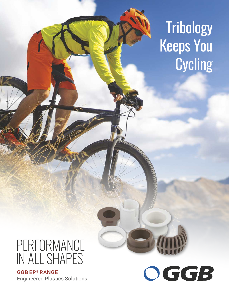# **Tribology** Keeps You **Cycling**

## PERFORMANCE IN ALL SHAPES

**GGB ® EP RANGE** Engineered Plastics Solutions

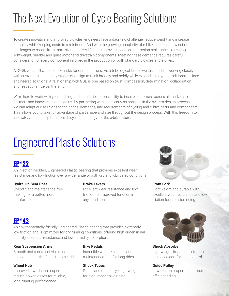## The Next Evolution of Cycle Bearing Solutions

To create innovative and improved bicycles, engineers face a daunting challenge: reduce weight and increase durability while keeping costs to a minimum. And with the growing popularity of e-bikes, there's a new set of challenges to meet—from maximizing battery life and improving electronic corrosion resistance to creating lightweight, durable and quiet motor and drivetrain components. Meeting these demands requires careful consideration of every component involved in the production of both standard bicycles and e-bikes.

At GGB, we aren't afraid to take risks for our customers. As a tribological leader, we take pride in working closely with customers in the early stages of design to think broadly and boldly while expanding beyond traditional surface engineered solutions. A relationship with GGB is one based on trust, compassion, determination, collaboration and respect—a true partnership.

We're here to work with you, pushing the boundaries of possibility to inspire customers across all markets to partner—and innovate—alongside us. By partnering with us as early as possible in the system design process, we can adapt our solutions to the needs, demands, and requirements of cycling and e-bike parts and components. This allows you to take full advantage of part shape and size throughout the design process. With this freedom to innovate, you can help transform bicycle technology for the e-bike future.

## [Engineered Plastic Solutions](https://www.ggbearings.com/en/products/solid-polymer-plastic-bearings)

### **[®](https://www.ggbearings.com/en/products/solid-polymer/ep22) [EP](https://www.ggbearings.com/en/products/solid-polymer/ep22) 22**

An injection-molded, Engineered Plastic bearing that provides excellent wear resistance and low friction over a wide range of both dry and lubricated conditions.

#### **Hydraulic Seat Post**

Smooth and maintenance-free, making for a better, more comfortable ride.

#### **Brake Levers**

Excellent wear resistance and low friction for improved function in any condition.



#### **Front Fork** Lightweight and durable with excellent wear resistance and low friction for precision riding.

### **[®](https://www.ggbearings.com/en/products/solid-polymer/ep43) [EP](https://www.ggbearings.com/en/products/solid-polymer/ep43) [43](https://www.ggbearings.com/en/products/solid-polymer/ep43)**

An environmentally friendly Engineered Plastic bearing that provides extremely low friction and is optimized for dry running conditions, offering high dimensional stability, chemical resistance and low humidity absorption.

#### **Rear Suspension Arms**

Smooth and consistent vibration damping properties for a smoother ride.

#### **Wheel Hub**

Improved low-friction properties reduce power losses for reliable, long-running performance.

#### **Bike Pedals**

Incredible wear resistance and maintenance-free for long rides.

#### **Shock Tubes**

Stable and durable, yet lightweight, for high-impact bike riding.



**Shock Absorber** Lightweight, impact-resistant for increased comfort and control.

#### **Guide Pulley**

Low-friction properties for more efficient riding.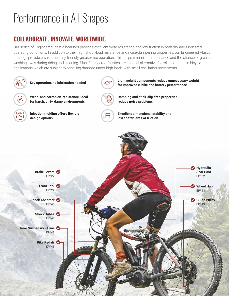## Performance in All Shapes

### **COLLABORATE. INNOVATE. WORLDWIDE.**

Our series of Engineered Plastic bearings provides excellent wear resistance and low friction in both dry and lubricated operating conditions. In addition to their high shock-load resistance and noise-dampening properties, our Engineered Plastic bearings provide environmentally friendly, grease-free operation. This helps minimize maintenance and the chance of grease washing away during riding and cleaning. Plus, Engineered Plastics are an ideal alternative for roller bearings in bicycle applications which are subject to brinelling damage under high loads with small oscillation movements.